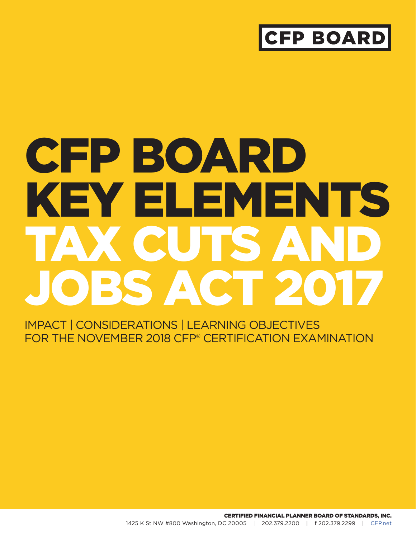## **CFP BOARI**

# CFP BOARD KEY ELEMENTS TAX CUTS AND JOBS ACT 201

IMPACT | CONSIDERATIONS | LEARNING OBJECTIVES FOR THE NOVEMBER 2018 CFP® CERTIFICATION EXAMINATION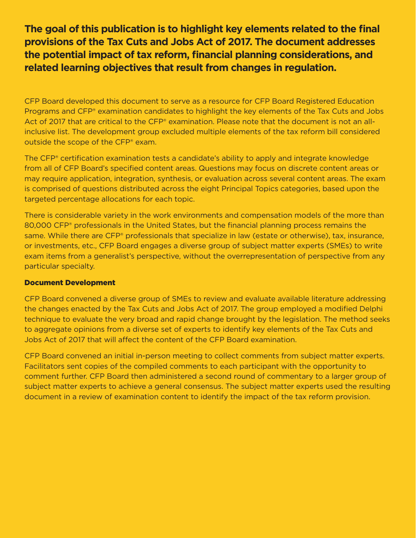**The goal of this publication is to highlight key elements related to the final provisions of the Tax Cuts and Jobs Act of 2017. The document addresses the potential impact of tax reform, financial planning considerations, and related learning objectives that result from changes in regulation.**

CFP Board developed this document to serve as a resource for CFP Board Registered Education Programs and CFP® examination candidates to highlight the key elements of the Tax Cuts and Jobs Act of 2017 that are critical to the CFP® examination. Please note that the document is not an allinclusive list. The development group excluded multiple elements of the tax reform bill considered outside the scope of the CFP® exam.

The CFP® certification examination tests a candidate's ability to apply and integrate knowledge from all of CFP Board's specified content areas. Questions may focus on discrete content areas or may require application, integration, synthesis, or evaluation across several content areas. The exam is comprised of questions distributed across the eight Principal Topics categories, based upon the targeted percentage allocations for each topic.

There is considerable variety in the work environments and compensation models of the more than 80,000 CFP® professionals in the United States, but the financial planning process remains the same. While there are CFP® professionals that specialize in law (estate or otherwise), tax, insurance, or investments, etc., CFP Board engages a diverse group of subject matter experts (SMEs) to write exam items from a generalist's perspective, without the overrepresentation of perspective from any particular specialty.

#### Document Development

CFP Board convened a diverse group of SMEs to review and evaluate available literature addressing the changes enacted by the Tax Cuts and Jobs Act of 2017. The group employed a modified Delphi technique to evaluate the very broad and rapid change brought by the legislation. The method seeks to aggregate opinions from a diverse set of experts to identify key elements of the Tax Cuts and Jobs Act of 2017 that will affect the content of the CFP Board examination.

CFP Board convened an initial in-person meeting to collect comments from subject matter experts. Facilitators sent copies of the compiled comments to each participant with the opportunity to comment further. CFP Board then administered a second round of commentary to a larger group of subject matter experts to achieve a general consensus. The subject matter experts used the resulting document in a review of examination content to identify the impact of the tax reform provision.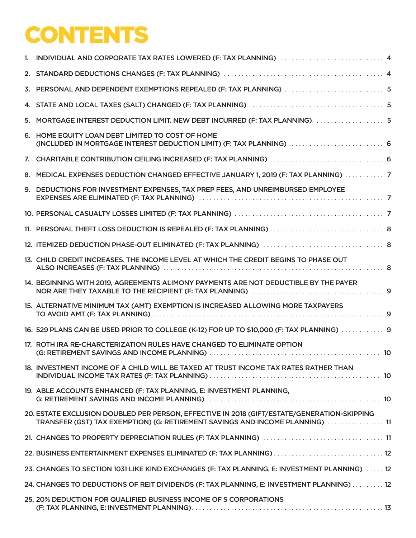## **CONTENTS**

| 1. INDIVIDUAL AND CORPORATE TAX RATES LOWERED (F: TAX PLANNING) 1.1.1.1.1.1.1.1.1.1.1.1.1.1.1.1.1.1.4                                                                        |  |
|------------------------------------------------------------------------------------------------------------------------------------------------------------------------------|--|
|                                                                                                                                                                              |  |
|                                                                                                                                                                              |  |
|                                                                                                                                                                              |  |
| 5. MORTGAGE INTEREST DEDUCTION LIMIT. NEW DEBT INCURRED (F: TAX PLANNING)  5                                                                                                 |  |
| 6. HOME EQUITY LOAN DEBT LIMITED TO COST OF HOME<br>(INCLUDED IN MORTGAGE INTEREST DEDUCTION LIMIT) (F: TAX PLANNING)  6                                                     |  |
|                                                                                                                                                                              |  |
| 8. MEDICAL EXPENSES DEDUCTION CHANGED EFFECTIVE JANUARY 1, 2019 (F: TAX PLANNING)  7                                                                                         |  |
| 9. DEDUCTIONS FOR INVESTMENT EXPENSES, TAX PREP FEES, AND UNREIMBURSED EMPLOYEE                                                                                              |  |
|                                                                                                                                                                              |  |
|                                                                                                                                                                              |  |
|                                                                                                                                                                              |  |
| 13. CHILD CREDIT INCREASES. THE INCOME LEVEL AT WHICH THE CREDIT BEGINS TO PHASE OUT                                                                                         |  |
| 14. BEGINNING WITH 2019, AGREEMENTS ALIMONY PAYMENTS ARE NOT DEDUCTIBLE BY THE PAYER                                                                                         |  |
| 15. ALTERNATIVE MINIMUM TAX (AMT) EXEMPTION IS INCREASED ALLOWING MORE TAXPAYERS                                                                                             |  |
| 16. 529 PLANS CAN BE USED PRIOR TO COLLEGE (K-12) FOR UP TO \$10,000 (F: TAX PLANNING)  9                                                                                    |  |
| 17. ROTH IRA RE-CHARCTERIZATION RULES HAVE CHANGED TO ELIMINATE OPTION                                                                                                       |  |
| 18. INVESTMENT INCOME OF A CHILD WILL BE TAXED AT TRUST INCOME TAX RATES RATHER THAN                                                                                         |  |
| 19. ABLE ACCOUNTS ENHANCED (F: TAX PLANNING, E: INVESTMENT PLANNING,                                                                                                         |  |
| 20. ESTATE EXCLUSION DOUBLED PER PERSON, EFFECTIVE IN 2018 (GIFT/ESTATE/GENERATION-SKIPPING<br>TRANSFER (GST) TAX EXEMPTION) (G: RETIREMENT SAVINGS AND INCOME PLANNING)  11 |  |
|                                                                                                                                                                              |  |
| 22. BUSINESS ENTERTAINMENT EXPENSES ELIMINATED (F: TAX PLANNING)  12                                                                                                         |  |
| 23. CHANGES TO SECTION 1031 LIKE KIND EXCHANGES (F: TAX PLANNING, E: INVESTMENT PLANNING)  12                                                                                |  |
| 24. CHANGES TO DEDUCTIONS OF REIT DIVIDENDS (F: TAX PLANNING, E: INVESTMENT PLANNING) 12                                                                                     |  |
| 25. 20% DEDUCTION FOR QUALIFIED BUSINESS INCOME OF S CORPORATIONS                                                                                                            |  |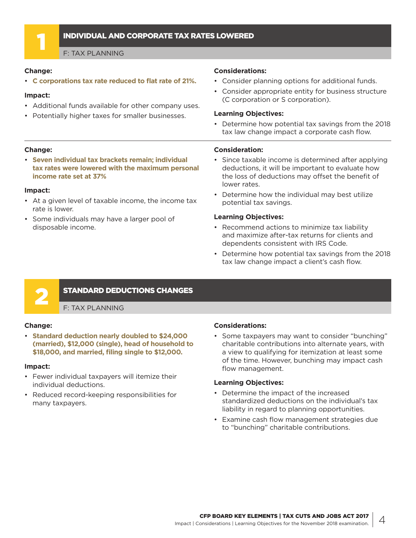#### <span id="page-3-0"></span>1 INDIVIDUAL AND CORPORATE TAX RATES LOWERED

F: TAX PLANNING

#### **Change:**

• **C corporations tax rate reduced to flat rate of 21%.**

#### **Impact:**

- Additional funds available for other company uses.
- Potentially higher taxes for smaller businesses.

#### **Change:**

• **Seven individual tax brackets remain; individual tax rates were lowered with the maximum personal income rate set at 37%**

#### **Impact:**

- At a given level of taxable income, the income tax rate is lower.
- Some individuals may have a larger pool of disposable income.

#### **Considerations:**

- Consider planning options for additional funds.
- Consider appropriate entity for business structure (C corporation or S corporation).

#### **Learning Objectives:**

• Determine how potential tax savings from the 2018 tax law change impact a corporate cash flow.

#### **Consideration:**

- Since taxable income is determined after applying deductions, it will be important to evaluate how the loss of deductions may offset the benefit of lower rates.
- Determine how the individual may best utilize potential tax savings.

#### **Learning Objectives:**

- Recommend actions to minimize tax liability and maximize after-tax returns for clients and dependents consistent with IRS Code.
- Determine how potential tax savings from the 2018 tax law change impact a client's cash flow.



#### **STANDARD DEDUCTIONS CHANGES**

F: TAX PLANNING

#### **Change:**

• **Standard deduction nearly doubled to \$24,000 (married), \$12,000 (single), head of household to \$18,000, and married, filing single to \$12,000.**

#### **Impact:**

- Fewer individual taxpayers will itemize their individual deductions.
- Reduced record-keeping responsibilities for many taxpayers.

#### **Considerations:**

• Some taxpayers may want to consider "bunching" charitable contributions into alternate years, with a view to qualifying for itemization at least some of the time. However, bunching may impact cash flow management.

- Determine the impact of the increased standardized deductions on the individual's tax liability in regard to planning opportunities.
- Examine cash flow management strategies due to "bunching" charitable contributions.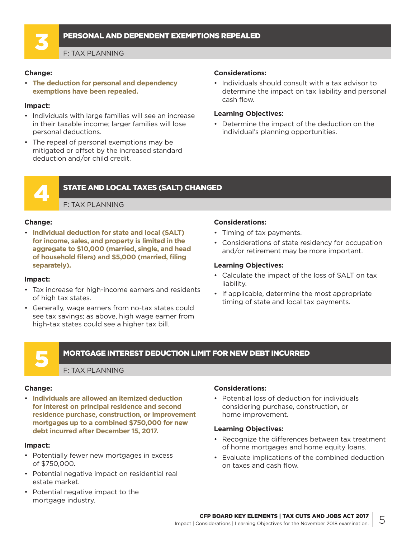#### <span id="page-4-0"></span>3 PERSONAL AND DEPENDENT EXEMPTIONS REPEALED

F: TAX PLANNING

#### **Change:**

• **The deduction for personal and dependency exemptions have been repealed.**

#### **Impact:**

- Individuals with large families will see an increase in their taxable income; larger families will lose personal deductions.
- The repeal of personal exemptions may be mitigated or offset by the increased standard deduction and/or child credit.

#### **Considerations:**

• Individuals should consult with a tax advisor to determine the impact on tax liability and personal cash flow.

#### **Learning Objectives:**

• Determine the impact of the deduction on the individual's planning opportunities.



#### **STATE AND LOCAL TAXES (SALT) CHANGED**

F: TAX PLANNING

#### **Change:**

• **Individual deduction for state and local (SALT) for income, sales, and property is limited in the aggregate to \$10,000 (married, single, and head of household filers) and \$5,000 (married, filing separately).**

#### **Impact:**

- Tax increase for high-income earners and residents of high tax states.
- Generally, wage earners from no-tax states could see tax savings; as above, high wage earner from high-tax states could see a higher tax bill.

#### **Considerations:**

- Timing of tax payments.
- Considerations of state residency for occupation and/or retirement may be more important.

#### **Learning Objectives:**

- Calculate the impact of the loss of SALT on tax liability.
- If applicable, determine the most appropriate timing of state and local tax payments.

#### 5 MORTGAGE INTEREST DEDUCTION LIMIT FOR NEW DEBT INCURRED

#### F: TAX PLANNING

#### **Change:**

• **Individuals are allowed an itemized deduction for interest on principal residence and second residence purchase, construction, or improvement mortgages up to a combined \$750,000 for new debt incurred after December 15, 2017.** 

#### **Impact:**

- Potentially fewer new mortgages in excess of \$750,000.
- Potential negative impact on residential real estate market.
- Potential negative impact to the mortgage industry.

#### **Considerations:**

• Potential loss of deduction for individuals considering purchase, construction, or home improvement.

- Recognize the differences between tax treatment of home mortgages and home equity loans.
- Evaluate implications of the combined deduction on taxes and cash flow.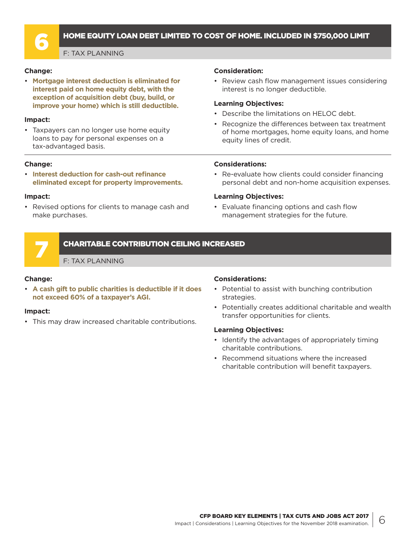<span id="page-5-0"></span>

#### 6 HOME EQUITY LOAN DEBT LIMITED TO COST OF HOME. INCLUDED IN \$750,000 LIMIT

F: TAX PLANNING

#### **Change:**

• **Mortgage interest deduction is eliminated for interest paid on home equity debt, with the exception of acquisition debt (buy, build, or improve your home) which is still deductible.** 

#### **Impact:**

• Taxpayers can no longer use home equity loans to pay for personal expenses on a tax-advantaged basis.

#### **Change:**

• **Interest deduction for cash-out refinance eliminated except for property improvements.**

#### **Impact:**

• Revised options for clients to manage cash and make purchases.

#### **Consideration:**

• Review cash flow management issues considering interest is no longer deductible.

#### **Learning Objectives:**

- Describe the limitations on HFLOC debt.
- Recognize the differences between tax treatment of home mortgages, home equity loans, and home equity lines of credit.

#### **Considerations:**

• Re-evaluate how clients could consider financing personal debt and non-home acquisition expenses.

#### **Learning Objectives:**

• Evaluate financing options and cash flow management strategies for the future.

#### 7 CHARITABLE CONTRIBUTION CEILING INCREASED

F: TAX PLANNING

#### **Change:**

• **A cash gift to public charities is deductible if it does not exceed 60% of a taxpayer's AGI.** 

#### **Impact:**

• This may draw increased charitable contributions.

#### **Considerations:**

- Potential to assist with bunching contribution strategies.
- Potentially creates additional charitable and wealth transfer opportunities for clients.

- Identify the advantages of appropriately timing charitable contributions.
- Recommend situations where the increased charitable contribution will benefit taxpayers.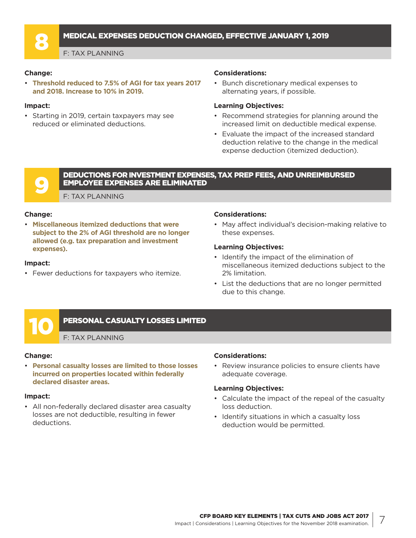#### <span id="page-6-0"></span>8 MEDICAL EXPENSES DEDUCTION CHANGED, EFFECTIVE JANUARY 1, 2019

F: TAX PLANNING

#### **Change:**

• **Threshold reduced to 7.5% of AGI for tax years 2017 and 2018. Increase to 10% in 2019.**

#### **Impact:**

• Starting in 2019, certain taxpayers may see reduced or eliminated deductions.

#### **Considerations:**

• Bunch discretionary medical expenses to alternating years, if possible.

#### **Learning Objectives:**

- Recommend strategies for planning around the increased limit on deductible medical expense.
- Evaluate the impact of the increased standard deduction relative to the change in the medical expense deduction (itemized deduction).

#### 9 DEDUCTIONS FOR INVESTMENT EXPENSES, TAX PREP FEES, AND UNREIMBURSED EMPLOYEE EXPENSES ARE ELIMINATED

F: TAX PLANNING

#### **Change:**

• **Miscellaneous itemized deductions that were subject to the 2% of AGI threshold are no longer allowed (e.g. tax preparation and investment expenses).** 

#### **Impact:**

• Fewer deductions for taxpayers who itemize.

#### **Considerations:**

• May affect individual's decision-making relative to these expenses.

#### **Learning Objectives:**

- Identify the impact of the elimination of miscellaneous itemized deductions subject to the 2% limitation.
- List the deductions that are no longer permitted due to this change.

#### PERSONAL CASUALTY LOSSES LIMITED

F: TAX PLANNING

#### **Change:**

• **Personal casualty losses are limited to those losses incurred on properties located within federally declared disaster areas.** 

#### **Impact:**

• All non-federally declared disaster area casualty losses are not deductible, resulting in fewer deductions.

#### **Considerations:**

• Review insurance policies to ensure clients have adequate coverage.

- Calculate the impact of the repeal of the casualty loss deduction.
- Identify situations in which a casualty loss deduction would be permitted.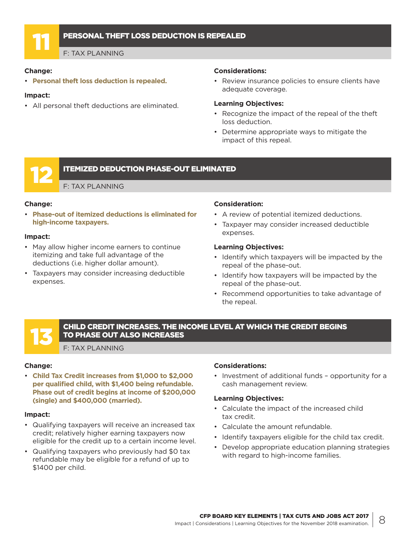<span id="page-7-0"></span>

#### PERSONAL THEFT LOSS DEDUCTION IS REPEALED

F: TAX PLANNING

#### **Change:**

• **Personal theft loss deduction is repealed.** 

#### **Impact:**

• All personal theft deductions are eliminated.

#### **Considerations:**

• Review insurance policies to ensure clients have adequate coverage.

#### **Learning Objectives:**

- Recognize the impact of the repeal of the theft loss deduction.
- Determine appropriate ways to mitigate the impact of this repeal.

#### **ITEMIZED DEDUCTION PHASE-OUT ELIMINATED**

F: TAX PLANNING

#### **Change:**

• **Phase-out of itemized deductions is eliminated for high-income taxpayers.** 

#### **Impact:**

- May allow higher income earners to continue itemizing and take full advantage of the deductions (i.e. higher dollar amount).
- Taxpayers may consider increasing deductible expenses.

#### **Consideration:**

- A review of potential itemized deductions.
- Taxpayer may consider increased deductible expenses.

#### **Learning Objectives:**

- Identify which taxpayers will be impacted by the repeal of the phase-out.
- Identify how taxpayers will be impacted by the repeal of the phase-out.
- Recommend opportunities to take advantage of the repeal.

#### 13 CHILD CREDIT INCREASES. THE INCOME LEVEL AT WHICH THE CREDIT BEGINS TO PHASE OUT ALSO INCREASES

F: TAX PLANNING

#### **Change:**

• **Child Tax Credit increases from \$1,000 to \$2,000 per qualified child, with \$1,400 being refundable. Phase out of credit begins at income of \$200,000 (single) and \$400,000 (married).** 

#### **Impact:**

- Qualifying taxpayers will receive an increased tax credit; relatively higher earning taxpayers now eligible for the credit up to a certain income level.
- Qualifying taxpayers who previously had \$0 tax refundable may be eligible for a refund of up to \$1400 per child.

#### **Considerations:**

• Investment of additional funds – opportunity for a cash management review.

- Calculate the impact of the increased child tax credit.
- Calculate the amount refundable.
- Identify taxpayers eligible for the child tax credit.
- Develop appropriate education planning strategies with regard to high-income families.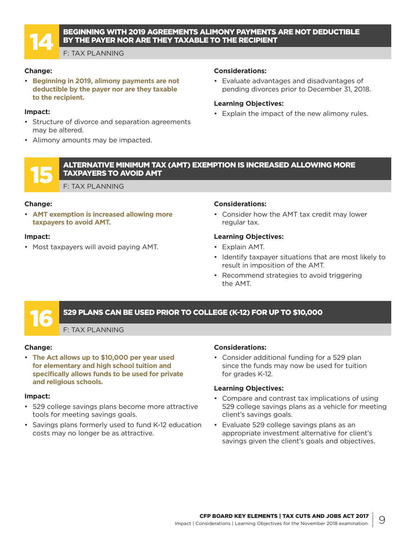<span id="page-8-0"></span>

#### 14 BEGINNING WITH 2019 AGREEMENTS ALIMONY PAYMENTS ARE NOT DEDUCTIBLE BY THE PAYER NOR ARE THEY TAXABLE TO THE RECIPIENT

F: TAX PLANNING

#### **Change:**

• **Beginning in 2019, alimony payments are not deductible by the payer nor are they taxable to the recipient.** 

#### **Impact:**

- Structure of divorce and separation agreements may be altered.
- Alimony amounts may be impacted.

#### **Considerations:**

• Evaluate advantages and disadvantages of pending divorces prior to December 31, 2018.

#### **Learning Objectives:**

- Explain the impact of the new alimony rules.
- 15 ALTERNATIVE MINIMUM TAX (AMT) EXEMPTION IS INCREASED ALLOWING MORE TAXPAYERS TO AVOID AMT

F: TAX PLANNING

#### **Change:**

• **AMT exemption is increased allowing more taxpayers to avoid AMT.** 

#### **Impact:**

• Most taxpayers will avoid paying AMT.

#### **Considerations:**

• Consider how the AMT tax credit may lower regular tax.

#### **Learning Objectives:**

- Explain AMT.
- Identify taxpayer situations that are most likely to result in imposition of the AMT.
- Recommend strategies to avoid triggering the AMT.

#### 16 529 PLANS CAN BE USED PRIOR TO COLLEGE (K-12) FOR UP TO \$10,000

F: TAX PLANNING

#### **Change:**

• **The Act allows up to \$10,000 per year used for elementary and high school tuition and specifically allows funds to be used for private and religious schools.**

#### **Impact:**

- 529 college savings plans become more attractive tools for meeting savings goals.
- Savings plans formerly used to fund K-12 education costs may no longer be as attractive.

#### **Considerations:**

• Consider additional funding for a 529 plan since the funds may now be used for tuition for grades K-12.

- Compare and contrast tax implications of using 529 college savings plans as a vehicle for meeting client's savings goals.
- Evaluate 529 college savings plans as an appropriate investment alternative for client's savings given the client's goals and objectives.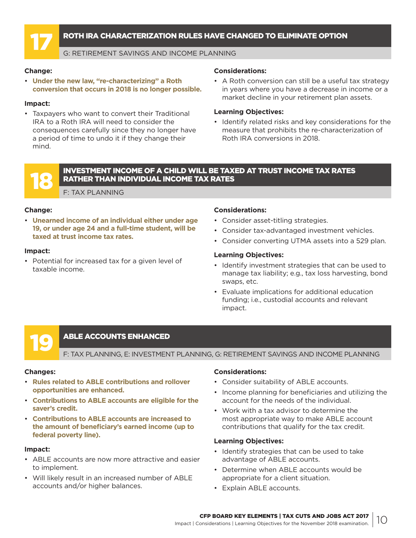#### <span id="page-9-0"></span>17 ROTH IRA CHARACTERIZATION RULES HAVE CHANGED TO ELIMINATE OPTION

#### G: RETIREMENT SAVINGS AND INCOME PLANNING

#### **Change:**

• **Under the new law, "re-characterizing" a Roth conversion that occurs in 2018 is no longer possible.**

#### **Impact:**

• Taxpayers who want to convert their Traditional IRA to a Roth IRA will need to consider the consequences carefully since they no longer have a period of time to undo it if they change their mind.

#### **Considerations:**

• A Roth conversion can still be a useful tax strategy in years where you have a decrease in income or a market decline in your retirement plan assets.

#### **Learning Objectives:**

• Identify related risks and key considerations for the measure that prohibits the re-characterization of Roth IRA conversions in 2018.



#### 18 INVESTMENT INCOME OF A CHILD WILL BE TAXED AT TRUST INCOME TAX RATES RATHER THAN INDIVIDUAL INCOME TAX RATES

F: TAX PLANNING

#### **Change:**

• **Unearned income of an individual either under age 19, or under age 24 and a full-time student, will be taxed at trust income tax rates.** 

#### **Impact:**

• Potential for increased tax for a given level of taxable income.

#### **Considerations:**

- Consider asset-titling strategies.
- Consider tax-advantaged investment vehicles.
- Consider converting UTMA assets into a 529 plan.

#### **Learning Objectives:**

- Identify investment strategies that can be used to manage tax liability; e.g., tax loss harvesting, bond swaps, etc.
- Evaluate implications for additional education funding; i.e., custodial accounts and relevant impact.

#### **ABLE ACCOUNTS ENHANCED**

F: TAX PLANNING, E: INVESTMENT PLANNING, G: RETIREMENT SAVINGS AND INCOME PLANNING

#### **Changes:**

- **Rules related to ABLE contributions and rollover opportunities are enhanced.**
- **Contributions to ABLE accounts are eligible for the saver's credit.**
- **Contributions to ABLE accounts are increased to the amount of beneficiary's earned income (up to federal poverty line).**

#### **Impact:**

- ABLE accounts are now more attractive and easier to implement.
- Will likely result in an increased number of ABLE accounts and/or higher balances.

#### **Considerations:**

- Consider suitability of ABLE accounts.
- Income planning for beneficiaries and utilizing the account for the needs of the individual.
- Work with a tax advisor to determine the most appropriate way to make ABLE account contributions that qualify for the tax credit.

- Identify strategies that can be used to take advantage of ABLE accounts.
- Determine when ABLE accounts would be appropriate for a client situation.
- Explain ABLE accounts.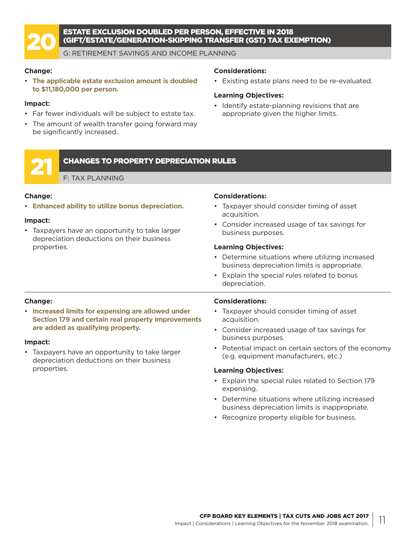<span id="page-10-0"></span>

### ESTATE EXCLUSION DOUBLED PER PERSON, EFFECTIVE IN 2018<br>GIFT/ESTATE/GENERATION-SKIPPING TRANSFER (GST) TAX EX<br>G: RETIREMENT SAVINGS AND INCOME PLANNING (GIFT/ESTATE/GENERATION-SKIPPING TRANSFER (GST) TAX EXEMPTION)

G: RETIREMENT SAVINGS AND INCOME PLANNING

#### **Change:**

• **The applicable estate exclusion amount is doubled to \$11,180,000 per person.** 

#### **Impact:**

- Far fewer individuals will be subject to estate tax.
- The amount of wealth transfer going forward may be significantly increased.

#### **Considerations:**

• Existing estate plans need to be re-evaluated.

#### **Learning Objectives:**

• Identify estate-planning revisions that are appropriate given the higher limits.

#### 21 CHANGES TO PROPERTY DEPRECIATION RULES

F: TAX PLANNING

#### **Change:**

• **Enhanced ability to utilize bonus depreciation.** 

#### **Impact:**

• Taxpayers have an opportunity to take larger depreciation deductions on their business properties.

#### **Considerations:**

- Taxpayer should consider timing of asset acquisition.
- Consider increased usage of tax savings for business purposes.

#### **Learning Objectives:**

- Determine situations where utilizing increased business depreciation limits is appropriate.
- Explain the special rules related to bonus depreciation.

#### **Change:**

• **Increased limits for expensing are allowed under Section 179 and certain real property improvements are added as qualifying property.**

#### **Impact:**

• Taxpayers have an opportunity to take larger depreciation deductions on their business properties.

#### **Considerations:**

- Taxpayer should consider timing of asset acquisition.
- Consider increased usage of tax savings for business purposes.
- Potential impact on certain sectors of the economy (e.g. equipment manufacturers, etc.)

- Explain the special rules related to Section 179 expensing.
- Determine situations where utilizing increased business depreciation limits is inappropriate.
- Recognize property eligible for business.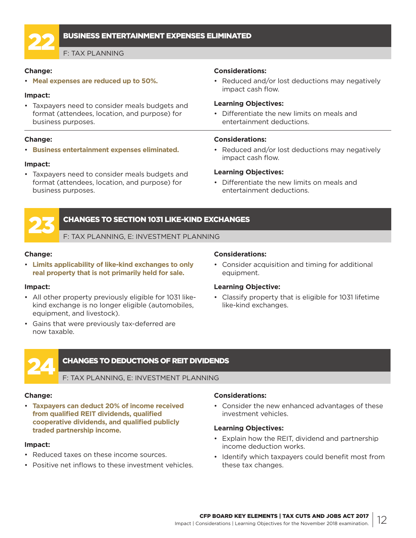<span id="page-11-0"></span>

#### 22 BUSINESS ENTERTAINMENT EXPENSES ELIMINATED

F: TAX PLANNING

#### **Change:**

• **Meal expenses are reduced up to 50%.**

#### **Impact:**

• Taxpayers need to consider meals budgets and format (attendees, location, and purpose) for business purposes.

#### **Change:**

• **Business entertainment expenses eliminated.** 

#### **Impact:**

• Taxpayers need to consider meals budgets and format (attendees, location, and purpose) for business purposes.

#### **Considerations:**

• Reduced and/or lost deductions may negatively impact cash flow.

#### **Learning Objectives:**

• Differentiate the new limits on meals and entertainment deductions.

#### **Considerations:**

• Reduced and/or lost deductions may negatively impact cash flow.

#### **Learning Objectives:**

• Differentiate the new limits on meals and entertainment deductions.



#### 23 CHANGES TO SECTION 1031 LIKE-KIND EXCHANGES

F: TAX PLANNING, E: INVESTMENT PLANNING

#### **Change:**

• **Limits applicability of like-kind exchanges to only real property that is not primarily held for sale.** 

#### **Impact:**

- All other property previously eligible for 1031 likekind exchange is no longer eligible (automobiles, equipment, and livestock).
- Gains that were previously tax-deferred are now taxable.

#### **Considerations:**

• Consider acquisition and timing for additional equipment.

#### **Learning Objective:**

• Classify property that is eligible for 1031 lifetime like-kind exchanges.

#### 24 CHANGES TO DEDUCTIONS OF REIT DIVIDENDS

#### F: TAX PLANNING, E: INVESTMENT PLANNING

#### **Change:**

• **Taxpayers can deduct 20% of income received from qualified REIT dividends, qualified cooperative dividends, and qualified publicly traded partnership income.** 

#### **Impact:**

- Reduced taxes on these income sources.
- Positive net inflows to these investment vehicles.

#### **Considerations:**

• Consider the new enhanced advantages of these investment vehicles.

- Explain how the REIT, dividend and partnership income deduction works.
- Identify which taxpayers could benefit most from these tax changes.